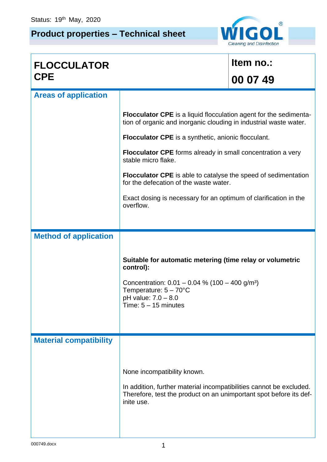## **Product properties – Technical sheet**



| <b>FLOCCULATOR</b>            |                                                                                                                                                                                                                                | Item no.: |  |
|-------------------------------|--------------------------------------------------------------------------------------------------------------------------------------------------------------------------------------------------------------------------------|-----------|--|
| <b>CPE</b>                    |                                                                                                                                                                                                                                | 00 07 49  |  |
| <b>Areas of application</b>   |                                                                                                                                                                                                                                |           |  |
|                               | <b>Flocculator CPE</b> is a liquid flocculation agent for the sedimenta-<br>tion of organic and inorganic clouding in industrial waste water.                                                                                  |           |  |
|                               | Flocculator CPE is a synthetic, anionic flocculant.                                                                                                                                                                            |           |  |
|                               | <b>Flocculator CPE</b> forms already in small concentration a very<br>stable micro flake.                                                                                                                                      |           |  |
|                               | <b>Flocculator CPE</b> is able to catalyse the speed of sedimentation<br>for the defecation of the waste water.                                                                                                                |           |  |
|                               | Exact dosing is necessary for an optimum of clarification in the<br>overflow.                                                                                                                                                  |           |  |
|                               |                                                                                                                                                                                                                                |           |  |
| <b>Method of application</b>  |                                                                                                                                                                                                                                |           |  |
|                               | Suitable for automatic metering (time relay or volumetric<br>control):<br>Concentration: $0.01 - 0.04$ % (100 - 400 g/m <sup>3</sup> )<br>Temperature: $5 - 70^{\circ}$ C<br>$pH$ value: $7.0 - 8.0$<br>Time: $5 - 15$ minutes |           |  |
| <b>Material compatibility</b> | None incompatibility known.<br>In addition, further material incompatibilities cannot be excluded.<br>Therefore, test the product on an unimportant spot before its def-<br>inite use.                                         |           |  |